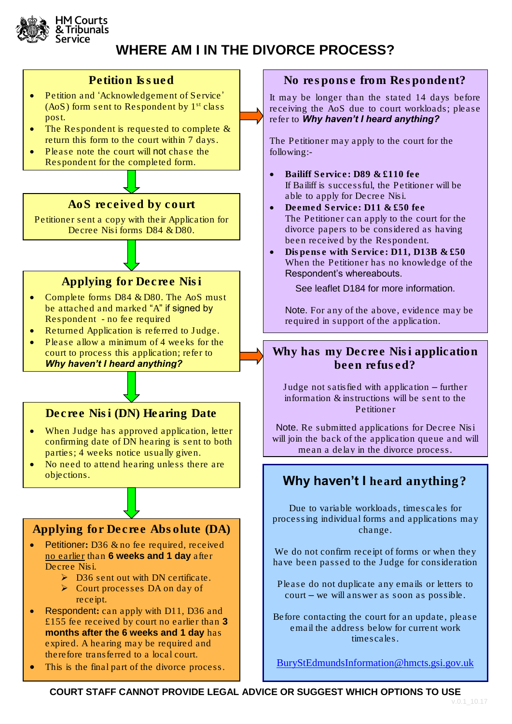

# **WHERE AM I IN THE DIVORCE PROCESS?**



**COURT STAFF CANNOT PROVIDE LEGAL ADVICE OR SUGGEST WHICH OPTIONS TO USE**